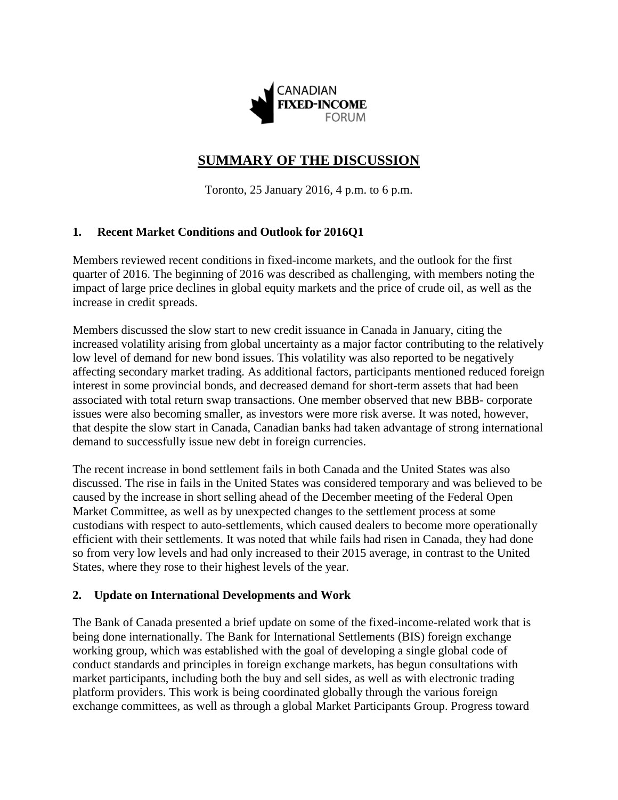

# **SUMMARY OF THE DISCUSSION**

Toronto, 25 January 2016, 4 p.m. to 6 p.m.

## **1. Recent Market Conditions and Outlook for 2016Q1**

Members reviewed recent conditions in fixed-income markets, and the outlook for the first quarter of 2016. The beginning of 2016 was described as challenging, with members noting the impact of large price declines in global equity markets and the price of crude oil, as well as the increase in credit spreads.

Members discussed the slow start to new credit issuance in Canada in January, citing the increased volatility arising from global uncertainty as a major factor contributing to the relatively low level of demand for new bond issues. This volatility was also reported to be negatively affecting secondary market trading. As additional factors, participants mentioned reduced foreign interest in some provincial bonds, and decreased demand for short-term assets that had been associated with total return swap transactions. One member observed that new BBB- corporate issues were also becoming smaller, as investors were more risk averse. It was noted, however, that despite the slow start in Canada, Canadian banks had taken advantage of strong international demand to successfully issue new debt in foreign currencies.

The recent increase in bond settlement fails in both Canada and the United States was also discussed. The rise in fails in the United States was considered temporary and was believed to be caused by the increase in short selling ahead of the December meeting of the Federal Open Market Committee, as well as by unexpected changes to the settlement process at some custodians with respect to auto-settlements, which caused dealers to become more operationally efficient with their settlements. It was noted that while fails had risen in Canada, they had done so from very low levels and had only increased to their 2015 average, in contrast to the United States, where they rose to their highest levels of the year.

### **2. Update on International Developments and Work**

The Bank of Canada presented a brief update on some of the fixed-income-related work that is being done internationally. The Bank for International Settlements (BIS) foreign exchange working group, which was established with the goal of developing a single global code of conduct standards and principles in foreign exchange markets, has begun consultations with market participants, including both the buy and sell sides, as well as with electronic trading platform providers. This work is being coordinated globally through the various foreign exchange committees, as well as through a global Market Participants Group. Progress toward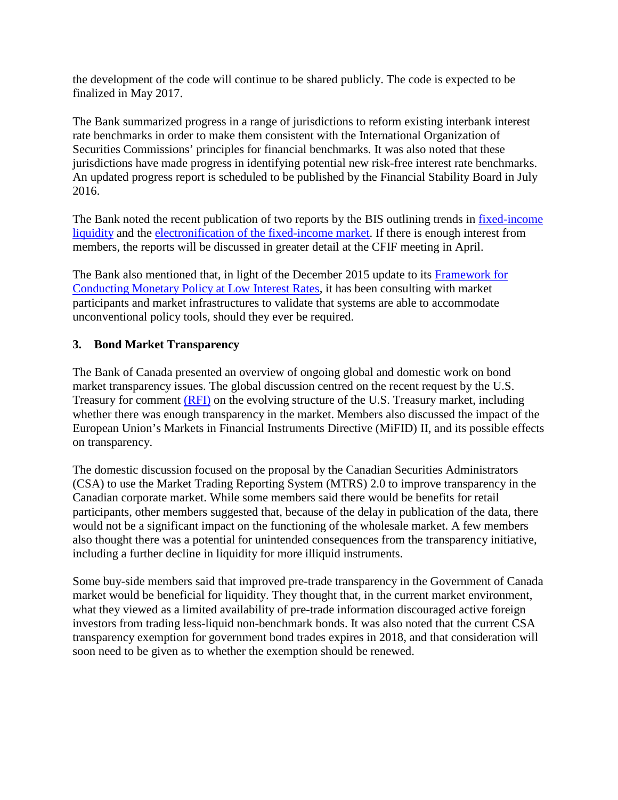the development of the code will continue to be shared publicly. The code is expected to be finalized in May 2017.

The Bank summarized progress in a range of jurisdictions to reform existing interbank interest rate benchmarks in order to make them consistent with the International Organization of Securities Commissions' principles for financial benchmarks. It was also noted that these jurisdictions have made progress in identifying potential new risk-free interest rate benchmarks. An updated progress report is scheduled to be published by the Financial Stability Board in July 2016.

The Bank noted the recent publication of two reports by the BIS outlining trends in [fixed-income](https://www.bis.org/publ/cgfs55.pdf)  [liquidity](https://www.bis.org/publ/cgfs55.pdf) and the [electronification of the fixed-income market.](https://www.bis.org/publ/mktc07.pdf) If there is enough interest from members, the reports will be discussed in greater detail at the CFIF meeting in April.

The Bank also mentioned that, in light of the December 2015 update to its Framework for [Conducting Monetary Policy at Low Interest Rates,](http://www.bankofcanada.ca/wp-content/uploads/2015/12/framework-conducting-monetary-policy.pdf) it has been consulting with market participants and market infrastructures to validate that systems are able to accommodate unconventional policy tools, should they ever be required.

## **3. Bond Market Transparency**

The Bank of Canada presented an overview of ongoing global and domestic work on bond market transparency issues. The global discussion centred on the recent request by the U.S. Treasury for comment [\(RFI\)](https://www.treasury.gov/press-center/press-releases/Pages/jl0323.aspx) on the evolving structure of the U.S. Treasury market, including whether there was enough transparency in the market. Members also discussed the impact of the European Union's Markets in Financial Instruments Directive (MiFID) II, and its possible effects on transparency.

The domestic discussion focused on the proposal by the Canadian Securities Administrators (CSA) to use the Market Trading Reporting System (MTRS) 2.0 to improve transparency in the Canadian corporate market. While some members said there would be benefits for retail participants, other members suggested that, because of the delay in publication of the data, there would not be a significant impact on the functioning of the wholesale market. A few members also thought there was a potential for unintended consequences from the transparency initiative, including a further decline in liquidity for more illiquid instruments.

Some buy-side members said that improved pre-trade transparency in the Government of Canada market would be beneficial for liquidity. They thought that, in the current market environment, what they viewed as a limited availability of pre-trade information discouraged active foreign investors from trading less-liquid non-benchmark bonds. It was also noted that the current CSA transparency exemption for government bond trades expires in 2018, and that consideration will soon need to be given as to whether the exemption should be renewed.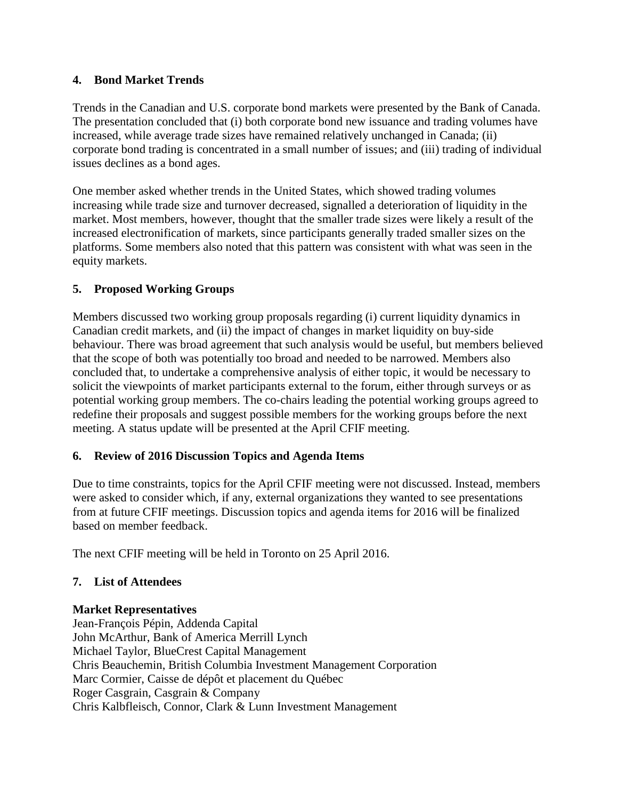### **4. Bond Market Trends**

Trends in the Canadian and U.S. corporate bond markets were presented by the Bank of Canada. The presentation concluded that (i) both corporate bond new issuance and trading volumes have increased, while average trade sizes have remained relatively unchanged in Canada; (ii) corporate bond trading is concentrated in a small number of issues; and (iii) trading of individual issues declines as a bond ages.

One member asked whether trends in the United States, which showed trading volumes increasing while trade size and turnover decreased, signalled a deterioration of liquidity in the market. Most members, however, thought that the smaller trade sizes were likely a result of the increased electronification of markets, since participants generally traded smaller sizes on the platforms. Some members also noted that this pattern was consistent with what was seen in the equity markets.

### **5. Proposed Working Groups**

Members discussed two working group proposals regarding (i) current liquidity dynamics in Canadian credit markets, and (ii) the impact of changes in market liquidity on buy-side behaviour. There was broad agreement that such analysis would be useful, but members believed that the scope of both was potentially too broad and needed to be narrowed. Members also concluded that, to undertake a comprehensive analysis of either topic, it would be necessary to solicit the viewpoints of market participants external to the forum, either through surveys or as potential working group members. The co-chairs leading the potential working groups agreed to redefine their proposals and suggest possible members for the working groups before the next meeting. A status update will be presented at the April CFIF meeting.

### **6. Review of 2016 Discussion Topics and Agenda Items**

Due to time constraints, topics for the April CFIF meeting were not discussed. Instead, members were asked to consider which, if any, external organizations they wanted to see presentations from at future CFIF meetings. Discussion topics and agenda items for 2016 will be finalized based on member feedback.

The next CFIF meeting will be held in Toronto on 25 April 2016.

### **7. List of Attendees**

#### **Market Representatives**

Jean-François Pépin, Addenda Capital John McArthur, Bank of America Merrill Lynch Michael Taylor, BlueCrest Capital Management Chris Beauchemin, British Columbia Investment Management Corporation Marc Cormier, Caisse de dépôt et placement du Québec Roger Casgrain, Casgrain & Company Chris Kalbfleisch, Connor, Clark & Lunn Investment Management